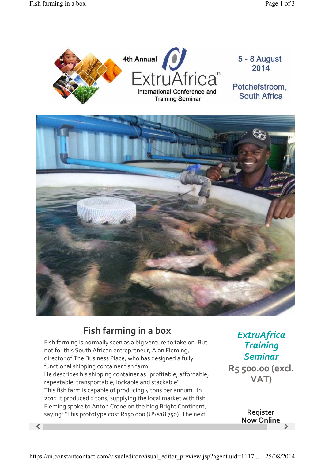

## **Fish farming in a box**

Fish farming is normally seen as a big venture to take on. But not for this South African entrepreneur, Alan Fleming, director of The Business Place, who has designed a fully functional shipping container fish farm. He describes his shipping container as "profitable, affordable, repeatable, transportable, lockable and stackable". This fish farm is capable of producing 4 tons per annum. In 2012 it produced 2 tons, supplying the local market with fish. Fleming spoke to Anton Crone on the blog Bright Continent, saying: "This prototype cost R150 000 (US\$18 750). The next

*ExtruAfrica Training Seminar* **R5 500.00 (excl. VAT)**

 $\langle$  and  $\rangle$ **Register Now Online**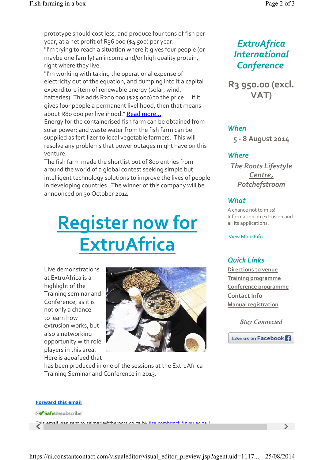"I'm working with taking the operational expense of electricity out of the equation, and dumping into it a capital expenditure item of renewable energy (solar, wind, batteries). This adds R200 000 (\$25 000) to the price ... if it gives four people a permanent livelihood, then that means about R80 000 per livelihood." Read more...

Energy for the containerised fish farm can be obtained from solar power; and waste water from the fish farm can be supplied as fertilizer to local vegetable farmers. This will resolve any problems that power outages might have on this venture.

The fish farm made the shortlist out of 800 entries from around the world of a global contest seeking simple but intelligent technology solutions to improve the lives of people in developing countries. The winner of this company will be announced on 30 October 2014.

# **Register now for ExtruAfrica**

Live demonstrations at ExtruAfrica is a highlight of the Training seminar and Conference, as it is not only a chance to learn how extrusion works, but also a networking opportunity with role players in this area. Here is aquafeed that



has been produced in one of the sessions at the ExtruAfrica Training Seminar and Conference in 2013.

## *ExtruAfrica International Conference*

**R3 950.00 (excl. VAT)**

#### *When*

**5 8 August 2014**

#### *Where*

*The Roots Lifestyle Centre, Potchefstroom*

### *What*

A chance not to miss! Information on extrusion and all its applications.

View More Info

## *Quick Links*

**Directions to venue Training programme Conference programme Contact Info Manual registration**

*Stay Connected*



#### **Forward this email**

SafeUnsubscribe

This email was sent to selmarie@theroots co za by ilze combrinck@nwu ac za |